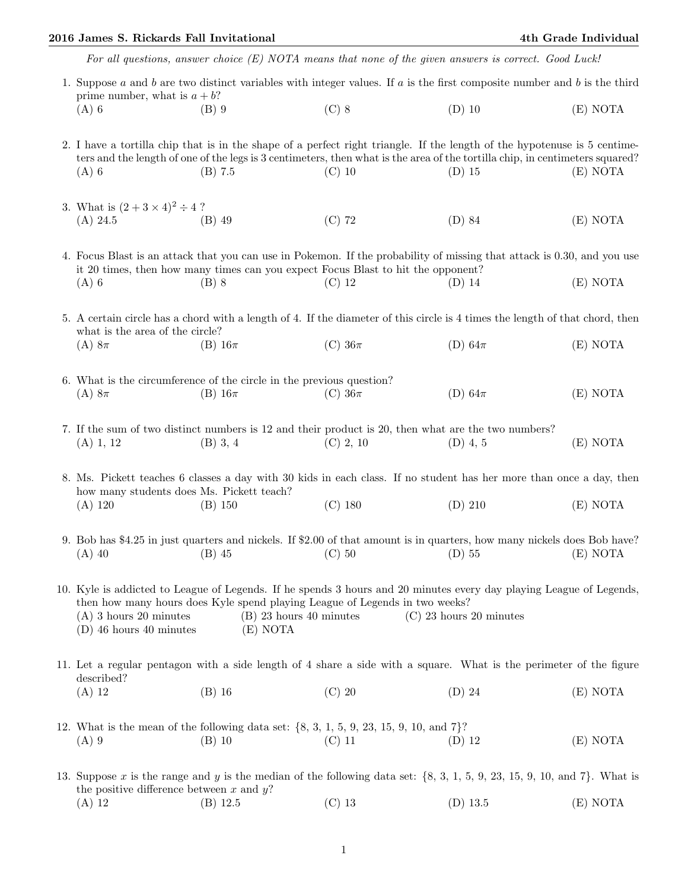## 2016 James S. Rickards Fall Invitational 4th Grade Individual

| For all questions, answer choice $(E)$ NOTA means that none of the given answers is correct. Good Luck!                                                                                                                                                                                                                           |                                                                                                                                         |             |             |          |  |  |  |  |
|-----------------------------------------------------------------------------------------------------------------------------------------------------------------------------------------------------------------------------------------------------------------------------------------------------------------------------------|-----------------------------------------------------------------------------------------------------------------------------------------|-------------|-------------|----------|--|--|--|--|
| prime number, what is $a + b$ ?                                                                                                                                                                                                                                                                                                   | 1. Suppose $a$ and $b$ are two distinct variables with integer values. If $a$ is the first composite number and $b$ is the third        |             |             |          |  |  |  |  |
| $(A)$ 6                                                                                                                                                                                                                                                                                                                           | $(B)$ 9                                                                                                                                 | $(C)$ 8     | $(D)$ 10    | (E) NOTA |  |  |  |  |
| 2. I have a tortilla chip that is in the shape of a perfect right triangle. If the length of the hypotenuse is 5 centime-                                                                                                                                                                                                         |                                                                                                                                         |             |             |          |  |  |  |  |
| $(A)$ 6                                                                                                                                                                                                                                                                                                                           | ters and the length of one of the legs is 3 centimeters, then what is the area of the tortilla chip, in centimeters squared?<br>(B) 7.5 | $(C)$ 10    | $(D)$ 15    | (E) NOTA |  |  |  |  |
| 3. What is $(2 + 3 \times 4)^2 \div 4$ ?                                                                                                                                                                                                                                                                                          |                                                                                                                                         |             |             |          |  |  |  |  |
| $(A)$ 24.5                                                                                                                                                                                                                                                                                                                        | $(B)$ 49                                                                                                                                | $(C)$ 72    | $(D)$ 84    | (E) NOTA |  |  |  |  |
| 4. Focus Blast is an attack that you can use in Pokemon. If the probability of missing that attack is 0.30, and you use<br>it 20 times, then how many times can you expect Focus Blast to hit the opponent?                                                                                                                       |                                                                                                                                         |             |             |          |  |  |  |  |
| $(A)$ 6                                                                                                                                                                                                                                                                                                                           | $(B)$ 8                                                                                                                                 | $(C)$ 12    | $(D)$ 14    | (E) NOTA |  |  |  |  |
| 5. A certain circle has a chord with a length of 4. If the diameter of this circle is 4 times the length of that chord, then<br>what is the area of the circle?                                                                                                                                                                   |                                                                                                                                         |             |             |          |  |  |  |  |
| $(A) 8\pi$                                                                                                                                                                                                                                                                                                                        | $(B)$ 16 $\pi$                                                                                                                          | (C) $36\pi$ | (D) $64\pi$ | (E) NOTA |  |  |  |  |
| 6. What is the circumference of the circle in the previous question?                                                                                                                                                                                                                                                              |                                                                                                                                         |             |             |          |  |  |  |  |
| $(A) 8\pi$                                                                                                                                                                                                                                                                                                                        | $(B)$ 16 $\pi$                                                                                                                          | (C) $36\pi$ | (D) $64\pi$ | (E) NOTA |  |  |  |  |
| 7. If the sum of two distinct numbers is 12 and their product is 20, then what are the two numbers?<br>$(A)$ 1, 12                                                                                                                                                                                                                | $(B)$ 3, 4                                                                                                                              | $(C)$ 2, 10 | $(D)$ 4, 5  | (E) NOTA |  |  |  |  |
|                                                                                                                                                                                                                                                                                                                                   |                                                                                                                                         |             |             |          |  |  |  |  |
| 8. Ms. Pickett teaches 6 classes a day with 30 kids in each class. If no student has her more than once a day, then<br>how many students does Ms. Pickett teach?                                                                                                                                                                  |                                                                                                                                         |             |             |          |  |  |  |  |
| $(A)$ 120                                                                                                                                                                                                                                                                                                                         | (B) 150                                                                                                                                 | $(C)$ 180   | $(D)$ 210   | (E) NOTA |  |  |  |  |
| 9. Bob has \$4.25 in just quarters and nickels. If \$2.00 of that amount is in quarters, how many nickels does Bob have?<br>$(A)$ 40                                                                                                                                                                                              | (B) 45 (C) 50 (D) 55 (E) NOTA                                                                                                           |             |             |          |  |  |  |  |
| 10. Kyle is addicted to League of Legends. If he spends 3 hours and 20 minutes every day playing League of Legends,<br>then how many hours does Kyle spend playing League of Legends in two weeks?<br>$(A)$ 3 hours 20 minutes<br>$(B)$ 23 hours 40 minutes<br>$(C)$ 23 hours 20 minutes<br>$(D)$ 46 hours 40 minutes<br>(E) NOTA |                                                                                                                                         |             |             |          |  |  |  |  |
| 11. Let a regular pentagon with a side length of 4 share a side with a square. What is the perimeter of the figure                                                                                                                                                                                                                |                                                                                                                                         |             |             |          |  |  |  |  |
| described?<br>$(A)$ 12                                                                                                                                                                                                                                                                                                            | $(B)$ 16                                                                                                                                | $(C)$ 20    | $(D)$ 24    | (E) NOTA |  |  |  |  |
| 12. What is the mean of the following data set: $\{8, 3, 1, 5, 9, 23, 15, 9, 10, \text{ and } 7\}$ ?                                                                                                                                                                                                                              |                                                                                                                                         |             |             |          |  |  |  |  |
| $(A)$ 9                                                                                                                                                                                                                                                                                                                           | $(B)$ 10                                                                                                                                | $(C)$ 11    | $(D)$ 12    | (E) NOTA |  |  |  |  |
| 13. Suppose x is the range and y is the median of the following data set: $\{8, 3, 1, 5, 9, 23, 15, 9, 10, \text{ and } 7\}$ . What is                                                                                                                                                                                            |                                                                                                                                         |             |             |          |  |  |  |  |
| the positive difference between $x$ and $y$ ?<br>$(A)$ 12                                                                                                                                                                                                                                                                         | $(B)$ 12.5                                                                                                                              | $(C)$ 13    | $(D)$ 13.5  | (E) NOTA |  |  |  |  |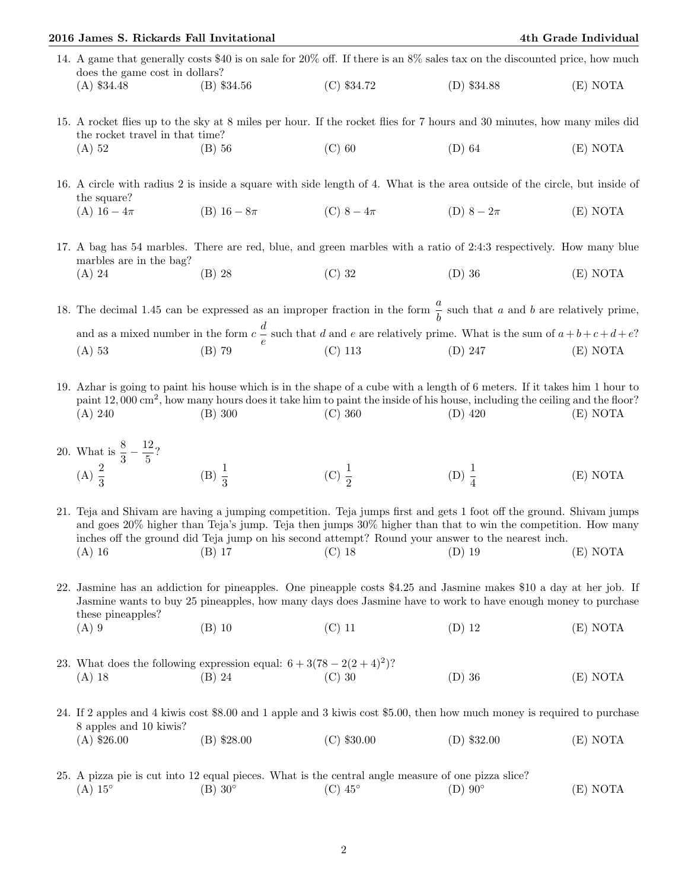|                                                                                                                                                                                                                                                              | 2016 James S. Rickards Fall Invitational                                                                                                                                                                                                                                                                                                                                                            |                     |                                                                                                                        |                                                                                                                                                                                                                                                                                  | 4th Grade Individual |  |
|--------------------------------------------------------------------------------------------------------------------------------------------------------------------------------------------------------------------------------------------------------------|-----------------------------------------------------------------------------------------------------------------------------------------------------------------------------------------------------------------------------------------------------------------------------------------------------------------------------------------------------------------------------------------------------|---------------------|------------------------------------------------------------------------------------------------------------------------|----------------------------------------------------------------------------------------------------------------------------------------------------------------------------------------------------------------------------------------------------------------------------------|----------------------|--|
|                                                                                                                                                                                                                                                              | 14. A game that generally costs \$40 is on sale for 20% off. If there is an 8% sales tax on the discounted price, how much<br>does the game cost in dollars?                                                                                                                                                                                                                                        |                     |                                                                                                                        |                                                                                                                                                                                                                                                                                  |                      |  |
|                                                                                                                                                                                                                                                              | $(A)$ \$34.48                                                                                                                                                                                                                                                                                                                                                                                       | $(B)$ \$34.56       | $(C)$ \$34.72                                                                                                          | $(D)$ \$34.88                                                                                                                                                                                                                                                                    | (E) NOTA             |  |
| 15. A rocket flies up to the sky at 8 miles per hour. If the rocket flies for 7 hours and 30 minutes, how many miles did<br>the rocket travel in that time?                                                                                                  |                                                                                                                                                                                                                                                                                                                                                                                                     |                     |                                                                                                                        |                                                                                                                                                                                                                                                                                  |                      |  |
|                                                                                                                                                                                                                                                              | $(A)$ 52                                                                                                                                                                                                                                                                                                                                                                                            | $(B)$ 56            | $(C)$ 60                                                                                                               | $(D)$ 64                                                                                                                                                                                                                                                                         | (E) NOTA             |  |
|                                                                                                                                                                                                                                                              | 16. A circle with radius 2 is inside a square with side length of 4. What is the area outside of the circle, but inside of<br>the square?                                                                                                                                                                                                                                                           |                     |                                                                                                                        |                                                                                                                                                                                                                                                                                  |                      |  |
|                                                                                                                                                                                                                                                              | (A) $16 - 4\pi$                                                                                                                                                                                                                                                                                                                                                                                     | (B) $16 - 8\pi$     | (C) $8-4\pi$ (D) $8-2\pi$                                                                                              |                                                                                                                                                                                                                                                                                  | (E) NOTA             |  |
|                                                                                                                                                                                                                                                              | 17. A bag has 54 marbles. There are red, blue, and green marbles with a ratio of 2:4:3 respectively. How many blue<br>marbles are in the bag?                                                                                                                                                                                                                                                       |                     |                                                                                                                        |                                                                                                                                                                                                                                                                                  |                      |  |
|                                                                                                                                                                                                                                                              | $(A)$ 24                                                                                                                                                                                                                                                                                                                                                                                            | $(B)$ 28            | $(C)$ 32                                                                                                               | $(D)$ 36                                                                                                                                                                                                                                                                         | (E) NOTA             |  |
| 18. The decimal 1.45 can be expressed as an improper fraction in the form $\frac{a}{b}$ such that a and b are relatively prime,<br>and as a mixed number in the form $c\frac{d}{e}$ such that d and e are relatively prime. What is the sum of $a+b+c+d+e$ ? |                                                                                                                                                                                                                                                                                                                                                                                                     |                     |                                                                                                                        |                                                                                                                                                                                                                                                                                  |                      |  |
|                                                                                                                                                                                                                                                              | $(A)$ 53                                                                                                                                                                                                                                                                                                                                                                                            | $(B)$ 79            | $(C)$ 113                                                                                                              | $(D)$ 247                                                                                                                                                                                                                                                                        | (E) NOTA             |  |
|                                                                                                                                                                                                                                                              | (A) 240                                                                                                                                                                                                                                                                                                                                                                                             | (B) 300             | (C) 360                                                                                                                | 19. Azhar is going to paint his house which is in the shape of a cube with a length of 6 meters. If it takes him 1 hour to<br>paint 12,000 cm <sup>2</sup> , how many hours does it take him to paint the inside of his house, including the ceiling and the floor?<br>$(D)$ 420 | (E) NOTA             |  |
|                                                                                                                                                                                                                                                              | 20. What is $\frac{8}{3} - \frac{12}{5}$ ?<br>(A) $\frac{2}{3}$                                                                                                                                                                                                                                                                                                                                     | (B) $\frac{1}{3}$   | (C) $\frac{1}{2}$                                                                                                      | (D) $\frac{1}{4}$                                                                                                                                                                                                                                                                | (E) NOTA             |  |
|                                                                                                                                                                                                                                                              | 21. Teja and Shivam are having a jumping competition. Teja jumps first and gets 1 foot off the ground. Shivam jumps<br>and goes 20% higher than Teja's jump. Teja then jumps 30% higher than that to win the competition. How many<br>inches off the ground did Teja jump on his second attempt? Round your answer to the nearest inch.<br>$(C)$ 18<br>$(D)$ 19<br>(E) NOTA<br>$(A)$ 16<br>$(B)$ 17 |                     |                                                                                                                        |                                                                                                                                                                                                                                                                                  |                      |  |
|                                                                                                                                                                                                                                                              | 22. Jasmine has an addiction for pineapples. One pineapple costs \$4.25 and Jasmine makes \$10 a day at her job. If<br>Jasmine wants to buy 25 pineapples, how many days does Jasmine have to work to have enough money to purchase<br>these pineapples?                                                                                                                                            |                     |                                                                                                                        |                                                                                                                                                                                                                                                                                  |                      |  |
|                                                                                                                                                                                                                                                              | $(A)$ 9                                                                                                                                                                                                                                                                                                                                                                                             | $(B)$ 10            | $(C)$ 11                                                                                                               | $(D)$ 12                                                                                                                                                                                                                                                                         | (E) NOTA             |  |
|                                                                                                                                                                                                                                                              | 23. What does the following expression equal: $6 + 3(78 - 2(2 + 4)^2)$ ?<br>(A) 18 (B) 24 (C) 30                                                                                                                                                                                                                                                                                                    |                     |                                                                                                                        | $(D)$ 36                                                                                                                                                                                                                                                                         | (E) NOTA             |  |
|                                                                                                                                                                                                                                                              | 24. If 2 apples and 4 kiwis cost \$8.00 and 1 apple and 3 kiwis cost \$5.00, then how much money is required to purchase<br>8 apples and 10 kiwis?                                                                                                                                                                                                                                                  |                     |                                                                                                                        |                                                                                                                                                                                                                                                                                  |                      |  |
|                                                                                                                                                                                                                                                              | $(A)$ \$26.00                                                                                                                                                                                                                                                                                                                                                                                       | $(B)$ \$28.00       | $(C)$ \$30.00                                                                                                          | $(D)$ \$32.00                                                                                                                                                                                                                                                                    | (E) NOTA             |  |
|                                                                                                                                                                                                                                                              | $(A) 15^\circ$                                                                                                                                                                                                                                                                                                                                                                                      | $(B)$ 30 $^{\circ}$ | 25. A pizza pie is cut into 12 equal pieces. What is the central angle measure of one pizza slice?<br>$(C)$ 45 $\circ$ | $(D) 90^\circ$                                                                                                                                                                                                                                                                   | (E) NOTA             |  |
|                                                                                                                                                                                                                                                              |                                                                                                                                                                                                                                                                                                                                                                                                     |                     |                                                                                                                        |                                                                                                                                                                                                                                                                                  |                      |  |